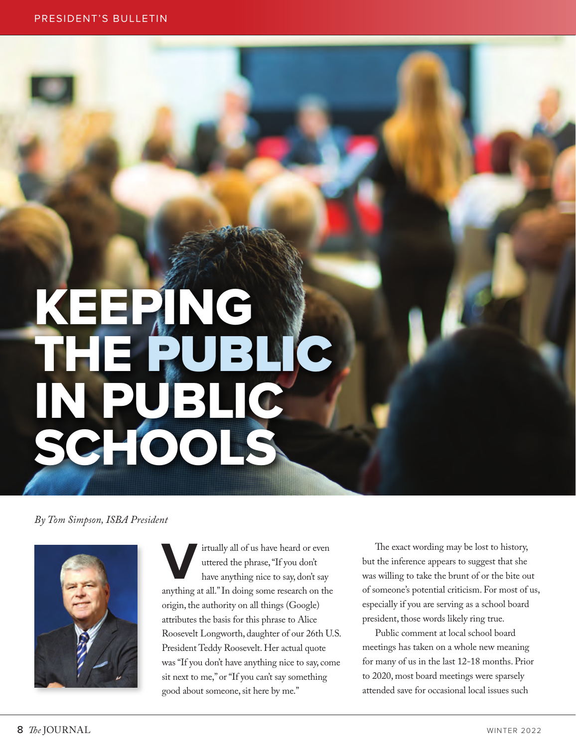## KEEPING THE PUBLIC IN PUBLIC SCHOOLS

## *By Tom Simpson, ISBA President*



irtually all of us have heard or even uttered the phrase, "If you don't have anything nice to say, don't say anything at all." In doing some research on the origin, the authority on all things (Google) attributes the basis for this phrase to Alice Roosevelt Longworth, daughter of our 26th U.S. President Teddy Roosevelt. Her actual quote was "If you don't have anything nice to say, come sit next to me," or "If you can't say something good about someone, sit here by me."

The exact wording may be lost to history, but the inference appears to suggest that she was willing to take the brunt of or the bite out of someone's potential criticism. For most of us, especially if you are serving as a school board president, those words likely ring true.

Public comment at local school board meetings has taken on a whole new meaning for many of us in the last 12-18 months. Prior to 2020, most board meetings were sparsely attended save for occasional local issues such